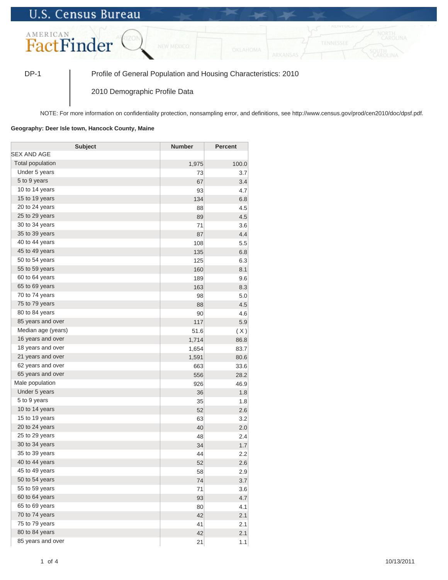## **U.S. Census Bureau**



DP-1 Profile of General Population and Housing Characteristics: 2010

2010 Demographic Profile Data

NOTE: For more information on confidentiality protection, nonsampling error, and definitions, see http://www.census.gov/prod/cen2010/doc/dpsf.pdf.

## **Geography: Deer Isle town, Hancock County, Maine**

| <b>Subject</b>     | <b>Number</b> | <b>Percent</b> |
|--------------------|---------------|----------------|
| SEX AND AGE        |               |                |
| Total population   | 1,975         | 100.0          |
| Under 5 years      | 73            | 3.7            |
| 5 to 9 years       | 67            | 3.4            |
| 10 to 14 years     | 93            | 4.7            |
| 15 to 19 years     | 134           | 6.8            |
| 20 to 24 years     | 88            | 4.5            |
| 25 to 29 years     | 89            | 4.5            |
| 30 to 34 years     | 71            | 3.6            |
| 35 to 39 years     | 87            | 4.4            |
| 40 to 44 years     | 108           | 5.5            |
| 45 to 49 years     | 135           | 6.8            |
| 50 to 54 years     | 125           | 6.3            |
| 55 to 59 years     | 160           | 8.1            |
| 60 to 64 years     | 189           | 9.6            |
| 65 to 69 years     | 163           | 8.3            |
| 70 to 74 years     | 98            | 5.0            |
| 75 to 79 years     | 88            | 4.5            |
| 80 to 84 years     | 90            | 4.6            |
| 85 years and over  | 117           | 5.9            |
| Median age (years) | 51.6          | (X)            |
| 16 years and over  | 1,714         | 86.8           |
| 18 years and over  | 1,654         | 83.7           |
| 21 years and over  | 1,591         | 80.6           |
| 62 years and over  | 663           | 33.6           |
| 65 years and over  | 556           | 28.2           |
| Male population    | 926           | 46.9           |
| Under 5 years      | 36            | 1.8            |
| 5 to 9 years       | 35            | 1.8            |
| 10 to 14 years     | 52            | 2.6            |
| 15 to 19 years     | 63            | 3.2            |
| 20 to 24 years     | 40            | 2.0            |
| 25 to 29 years     | 48            | 2.4            |
| 30 to 34 years     | 34            | 1.7            |
| 35 to 39 years     | 44            | 2.2            |
| 40 to 44 years     | 52            | 2.6            |
| 45 to 49 years     | 58            | 2.9            |
| 50 to 54 years     | 74            | 3.7            |
| 55 to 59 years     | 71            | 3.6            |
| 60 to 64 years     | 93            | 4.7            |
| 65 to 69 years     | 80            | 4.1            |
| 70 to 74 years     | 42            | 2.1            |
| 75 to 79 years     | 41            | 2.1            |
| 80 to 84 years     | 42            | 2.1            |
| 85 years and over  | 21            | 1.1            |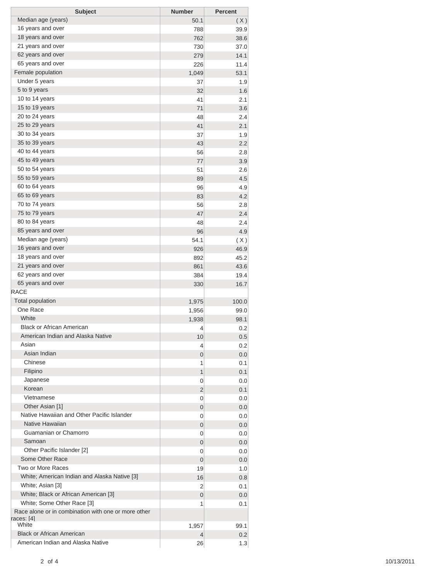| <b>Subject</b>                                                    | <b>Number</b> | <b>Percent</b> |
|-------------------------------------------------------------------|---------------|----------------|
| Median age (years)                                                | 50.1          | (X)            |
| 16 years and over                                                 | 788           | 39.9           |
| 18 years and over                                                 | 762           | 38.6           |
| 21 years and over                                                 | 730           | 37.0           |
| 62 years and over                                                 | 279           | 14.1           |
| 65 years and over                                                 | 226           | 11.4           |
| Female population                                                 | 1,049         | 53.1           |
| Under 5 years                                                     | 37            | 1.9            |
| 5 to 9 years                                                      | 32            | 1.6            |
| 10 to 14 years                                                    | 41            | 2.1            |
| 15 to 19 years                                                    | 71            | 3.6            |
| 20 to 24 years                                                    | 48            | 2.4            |
| 25 to 29 years                                                    | 41            | 2.1            |
| 30 to 34 years                                                    | 37            | 1.9            |
| 35 to 39 years                                                    | 43            | 2.2            |
| 40 to 44 years                                                    | 56            | 2.8            |
| 45 to 49 years                                                    | 77            | 3.9            |
| 50 to 54 years                                                    |               |                |
| 55 to 59 years                                                    | 51            | 2.6            |
| 60 to 64 years                                                    | 89            | 4.5            |
|                                                                   | 96            | 4.9            |
| 65 to 69 years                                                    | 83            | 4.2            |
| 70 to 74 years                                                    | 56            | 2.8            |
| 75 to 79 years                                                    | 47            | 2.4            |
| 80 to 84 years                                                    | 48            | 2.4            |
| 85 years and over                                                 | 96            | 4.9            |
| Median age (years)                                                | 54.1          | (X)            |
| 16 years and over                                                 | 926           | 46.9           |
| 18 years and over                                                 | 892           | 45.2           |
| 21 years and over                                                 | 861           | 43.6           |
| 62 years and over                                                 | 384           | 19.4           |
| 65 years and over                                                 | 330           | 16.7           |
| <b>RACE</b>                                                       |               |                |
| <b>Total population</b>                                           | 1,975         | 100.0          |
| One Race                                                          | 1,956         | 99.0           |
| White                                                             | 1,938         | 98.1           |
| <b>Black or African American</b>                                  | 4             | 0.2            |
| American Indian and Alaska Native                                 | 10            | 0.5            |
| Asian                                                             | 4             | 0.2            |
| Asian Indian                                                      | 0             | 0.0            |
| Chinese                                                           | 1             | 0.1            |
| Filipino                                                          | 1             | 0.1            |
| Japanese                                                          | 0             | 0.0            |
| Korean                                                            | 2             | 0.1            |
| Vietnamese                                                        | 0             | 0.0            |
| Other Asian [1]                                                   | 0             | 0.0            |
| Native Hawaiian and Other Pacific Islander                        | 0             | 0.0            |
| Native Hawaiian                                                   | 0             | 0.0            |
| Guamanian or Chamorro                                             | 0             | 0.0            |
| Samoan                                                            | 0             | 0.0            |
| Other Pacific Islander [2]                                        | 0             | 0.0            |
| Some Other Race                                                   | 0             |                |
| Two or More Races                                                 |               | 0.0            |
| White; American Indian and Alaska Native [3]                      | 19            | 1.0            |
| White; Asian [3]                                                  | 16            | 0.8            |
|                                                                   | 2             | 0.1            |
| White; Black or African American [3]                              | 0             | 0.0            |
| White; Some Other Race [3]                                        | 1             | 0.1            |
| Race alone or in combination with one or more other<br>races: [4] |               |                |
| White                                                             | 1,957         | 99.1           |
| <b>Black or African American</b>                                  | 4             | 0.2            |
| American Indian and Alaska Native                                 | 26            | 1.3            |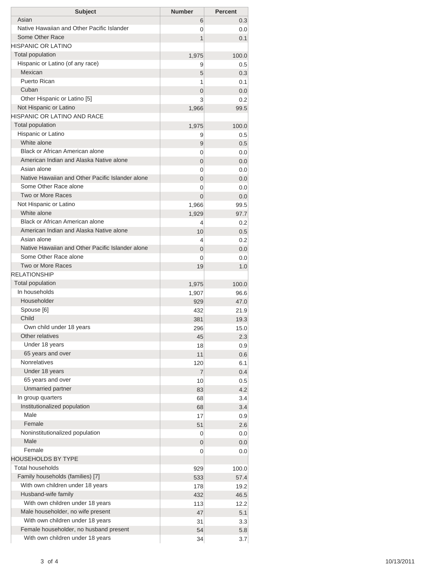| <b>Subject</b>                                                  | <b>Number</b>              | <b>Percent</b> |
|-----------------------------------------------------------------|----------------------------|----------------|
| Asian                                                           | 6                          | 0.3            |
| Native Hawaiian and Other Pacific Islander                      | 0                          | 0.0            |
| Some Other Race                                                 | 1                          | 0.1            |
| <b>HISPANIC OR LATINO</b>                                       |                            |                |
| <b>Total population</b>                                         | 1,975                      | 100.0          |
| Hispanic or Latino (of any race)                                | 9                          | 0.5            |
| Mexican                                                         | 5                          | 0.3            |
| Puerto Rican                                                    | 1                          | 0.1            |
| Cuban                                                           | $\overline{0}$             | 0.0            |
| Other Hispanic or Latino [5]                                    | 3                          | 0.2            |
| Not Hispanic or Latino                                          | 1,966                      | 99.5           |
| HISPANIC OR LATINO AND RACE                                     |                            |                |
| <b>Total population</b>                                         | 1,975                      | 100.0          |
| Hispanic or Latino                                              | 9                          | 0.5            |
| White alone                                                     | 9                          | 0.5            |
| Black or African American alone                                 | 0                          | 0.0            |
| American Indian and Alaska Native alone                         | $\overline{0}$             | 0.0            |
| Asian alone<br>Native Hawaiian and Other Pacific Islander alone | 0                          | 0.0            |
| Some Other Race alone                                           | $\overline{0}$             | 0.0            |
| Two or More Races                                               | 0                          | 0.0            |
|                                                                 | $\Omega$                   | 0.0            |
| Not Hispanic or Latino<br>White alone                           | 1,966                      | 99.5           |
| Black or African American alone                                 | 1,929                      | 97.7           |
| American Indian and Alaska Native alone                         | 4                          | 0.2            |
| Asian alone                                                     | 10                         | 0.5            |
| Native Hawaiian and Other Pacific Islander alone                | 4                          | 0.2            |
| Some Other Race alone                                           | $\overline{0}$<br>$\Omega$ | 0.0            |
| Two or More Races                                               | 19                         | 0.0<br>1.0     |
| <b>RELATIONSHIP</b>                                             |                            |                |
| <b>Total population</b>                                         |                            | 100.0          |
| In households                                                   | 1,975<br>1,907             | 96.6           |
| Householder                                                     | 929                        | 47.0           |
| Spouse [6]                                                      | 432                        | 21.9           |
| Child                                                           | 381                        | 19.3           |
| Own child under 18 years                                        | 296                        | 15.0           |
| Other relatives                                                 | 45                         | 2.3            |
| Under 18 years                                                  | 18                         | 0.9            |
| 65 years and over                                               | 11                         | 0.6            |
| <b>Nonrelatives</b>                                             | 120                        | 6.1            |
| Under 18 years                                                  | $\overline{7}$             | 0.4            |
| 65 years and over                                               | 10                         | 0.5            |
| Unmarried partner                                               | 83                         | 4.2            |
| In group quarters                                               | 68                         | 3.4            |
| Institutionalized population                                    | 68                         | 3.4            |
| Male                                                            | 17                         | 0.9            |
| Female                                                          | 51                         | 2.6            |
| Noninstitutionalized population                                 | 0                          | 0.0            |
| Male                                                            | $\mathbf 0$                | 0.0            |
| Female                                                          | 0                          | 0.0            |
| <b>HOUSEHOLDS BY TYPE</b>                                       |                            |                |
| <b>Total households</b>                                         | 929                        | 100.0          |
| Family households (families) [7]                                | 533                        | 57.4           |
| With own children under 18 years                                | 178                        | 19.2           |
| Husband-wife family                                             | 432                        | 46.5           |
| With own children under 18 years                                | 113                        | 12.2           |
| Male householder, no wife present                               | 47                         | 5.1            |
| With own children under 18 years                                | 31                         | 3.3            |
| Female householder, no husband present                          | 54                         | 5.8            |
| With own children under 18 years                                | 34                         | 3.7            |